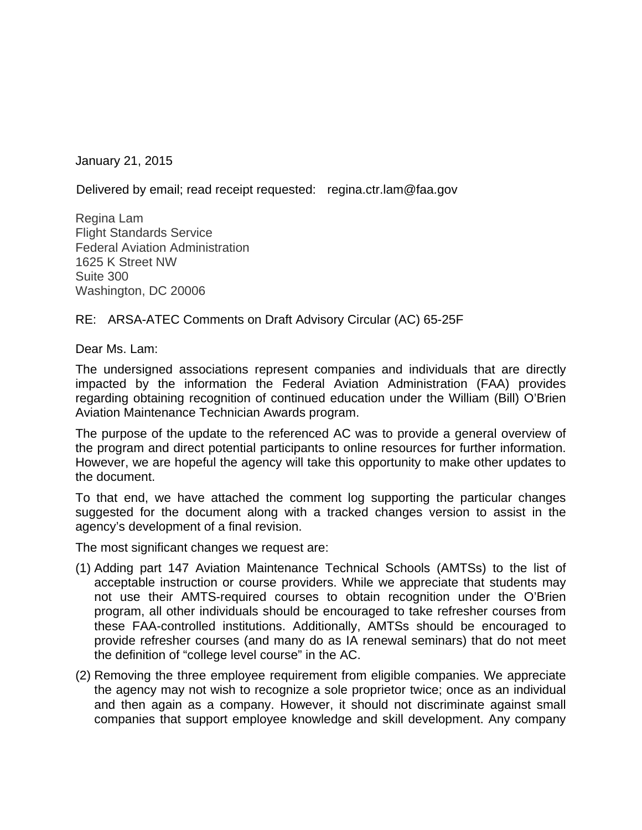January 21, 2015

Delivered by email; read receipt requested: regina.ctr.lam@faa.gov

Regina Lam Flight Standards Service Federal Aviation Administration 1625 K Street NW Suite 300 Washington, DC 20006

# RE: ARSA-ATEC Comments on Draft Advisory Circular (AC) 65-25F

Dear Ms. Lam:

The undersigned associations represent companies and individuals that are directly impacted by the information the Federal Aviation Administration (FAA) provides regarding obtaining recognition of continued education under the William (Bill) O'Brien Aviation Maintenance Technician Awards program.

The purpose of the update to the referenced AC was to provide a general overview of the program and direct potential participants to online resources for further information. However, we are hopeful the agency will take this opportunity to make other updates to the document.

To that end, we have attached the comment log supporting the particular changes suggested for the document along with a tracked changes version to assist in the agency's development of a final revision.

The most significant changes we request are:

- (1) Adding part 147 Aviation Maintenance Technical Schools (AMTSs) to the list of acceptable instruction or course providers. While we appreciate that students may not use their AMTS-required courses to obtain recognition under the O'Brien program, all other individuals should be encouraged to take refresher courses from these FAA-controlled institutions. Additionally, AMTSs should be encouraged to provide refresher courses (and many do as IA renewal seminars) that do not meet the definition of "college level course" in the AC.
- (2) Removing the three employee requirement from eligible companies. We appreciate the agency may not wish to recognize a sole proprietor twice; once as an individual and then again as a company. However, it should not discriminate against small companies that support employee knowledge and skill development. Any company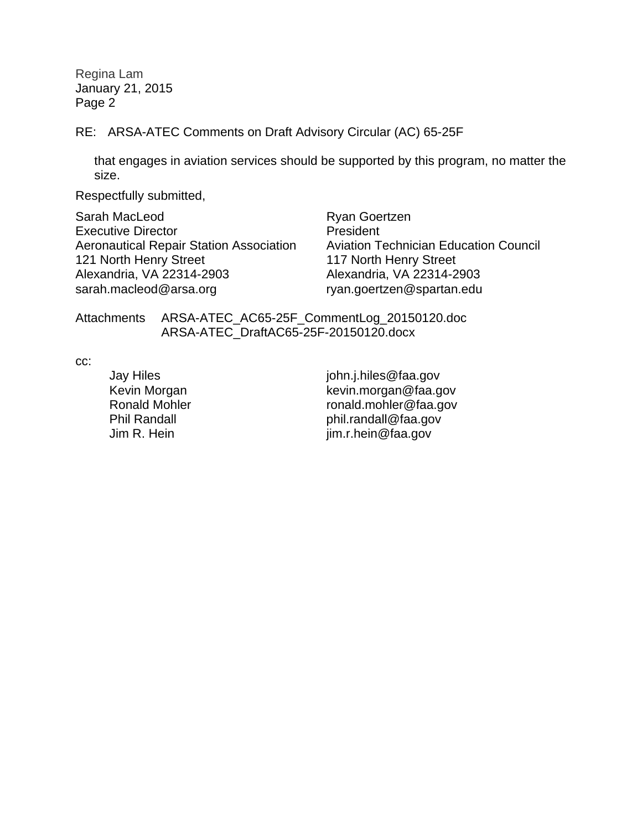Regina Lam January 21, 2015 Page 2

RE: ARSA-ATEC Comments on Draft Advisory Circular (AC) 65-25F

that engages in aviation services should be supported by this program, no matter the size.

Respectfully submitted,

Sarah MacLeod Executive Director Aeronautical Repair Station Association 121 North Henry Street Alexandria, VA 22314-2903 sarah.macleod@arsa.org ryan.goertzen@spartan.edu

 Ryan Goertzen President Aviation Technician Education Council 117 North Henry Street Alexandria, VA 22314-2903

Attachments ARSA-ATEC\_AC65-25F\_CommentLog\_20150120.doc ARSA-ATEC\_DraftAC65-25F-20150120.docx

cc:

Jay Hiles **john.j.hiles@faa.gov**  Kevin Morgan kevin.morgan@faa.gov ronald.mohler@faa.gov Phil Randall **phil.randall@faa.gov** Jim R. Hein im.r.hein@faa.gov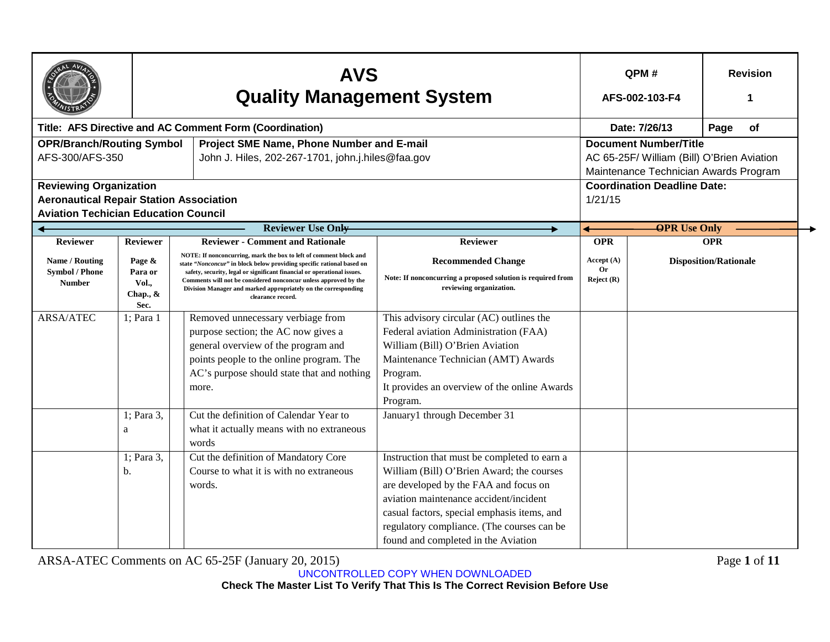|                                                                                                                                |                                                                                                                                                       | <b>AVS</b><br><b>Quality Management System</b>                                                                                                                                                                                                                                                                                                                                   | QPM#<br>AFS-002-103-F4                                                                                                                                                                                                                                                                                           |                               | <b>Revision</b>                    |                                                                                                                     |
|--------------------------------------------------------------------------------------------------------------------------------|-------------------------------------------------------------------------------------------------------------------------------------------------------|----------------------------------------------------------------------------------------------------------------------------------------------------------------------------------------------------------------------------------------------------------------------------------------------------------------------------------------------------------------------------------|------------------------------------------------------------------------------------------------------------------------------------------------------------------------------------------------------------------------------------------------------------------------------------------------------------------|-------------------------------|------------------------------------|---------------------------------------------------------------------------------------------------------------------|
|                                                                                                                                |                                                                                                                                                       | Title: AFS Directive and AC Comment Form (Coordination)                                                                                                                                                                                                                                                                                                                          |                                                                                                                                                                                                                                                                                                                  |                               | Date: 7/26/13                      | Page<br>of                                                                                                          |
|                                                                                                                                | <b>OPR/Branch/Routing Symbol</b><br>Project SME Name, Phone Number and E-mail<br>AFS-300/AFS-350<br>John J. Hiles, 202-267-1701, john.j.hiles@faa.gov |                                                                                                                                                                                                                                                                                                                                                                                  |                                                                                                                                                                                                                                                                                                                  |                               |                                    | <b>Document Number/Title</b><br>AC 65-25F/ William (Bill) O'Brien Aviation<br>Maintenance Technician Awards Program |
| <b>Reviewing Organization</b><br><b>Aeronautical Repair Station Association</b><br><b>Aviation Techician Education Council</b> |                                                                                                                                                       |                                                                                                                                                                                                                                                                                                                                                                                  |                                                                                                                                                                                                                                                                                                                  | 1/21/15                       | <b>Coordination Deadline Date:</b> |                                                                                                                     |
|                                                                                                                                |                                                                                                                                                       | <b>Reviewer Use Only-</b>                                                                                                                                                                                                                                                                                                                                                        |                                                                                                                                                                                                                                                                                                                  |                               | <b>OPR</b> Use Only                |                                                                                                                     |
| <b>Reviewer</b>                                                                                                                | <b>Reviewer</b>                                                                                                                                       | <b>Reviewer - Comment and Rationale</b>                                                                                                                                                                                                                                                                                                                                          | Reviewer                                                                                                                                                                                                                                                                                                         | <b>OPR</b>                    |                                    | <b>OPR</b>                                                                                                          |
| Name / Routing<br><b>Symbol / Phone</b><br><b>Number</b>                                                                       | Page &<br>Para or<br>Vol.,<br>Chap., $\&$<br>Sec.                                                                                                     | NOTE: If nonconcurring, mark the box to left of comment block and<br>state "Nonconcur" in block below providing specific rational based on<br>safety, security, legal or significant financial or operational issues.<br>Comments will not be considered nonconcur unless approved by the<br>Division Manager and marked appropriately on the corresponding<br>clearance record. | <b>Recommended Change</b><br>Note: If nonconcurring a proposed solution is required from<br>reviewing organization.                                                                                                                                                                                              | Accept (A)<br>0r<br>Reject(R) |                                    | <b>Disposition/Rationale</b>                                                                                        |
| <b>ARSA/ATEC</b>                                                                                                               | 1; Para 1                                                                                                                                             | Removed unnecessary verbiage from<br>purpose section; the AC now gives a<br>general overview of the program and<br>points people to the online program. The<br>AC's purpose should state that and nothing<br>more.                                                                                                                                                               | This advisory circular (AC) outlines the<br>Federal aviation Administration (FAA)<br>William (Bill) O'Brien Aviation<br>Maintenance Technician (AMT) Awards<br>Program.<br>It provides an overview of the online Awards<br>Program.                                                                              |                               |                                    |                                                                                                                     |
|                                                                                                                                | 1; Para 3,<br>a                                                                                                                                       | Cut the definition of Calendar Year to<br>what it actually means with no extraneous<br>words                                                                                                                                                                                                                                                                                     | January1 through December 31                                                                                                                                                                                                                                                                                     |                               |                                    |                                                                                                                     |
|                                                                                                                                | 1; Para 3,<br>b.                                                                                                                                      | Cut the definition of Mandatory Core<br>Course to what it is with no extraneous<br>words.                                                                                                                                                                                                                                                                                        | Instruction that must be completed to earn a<br>William (Bill) O'Brien Award; the courses<br>are developed by the FAA and focus on<br>aviation maintenance accident/incident<br>casual factors, special emphasis items, and<br>regulatory compliance. (The courses can be<br>found and completed in the Aviation |                               |                                    |                                                                                                                     |

ARSA-ATEC Comments on AC 65-25F (January 20, 2015) Page **1** of **11**

UNCONTROLLED COPY WHEN DOWNLOADED

**Check The Master List To Verify That This Is The Correct Revision Before Use**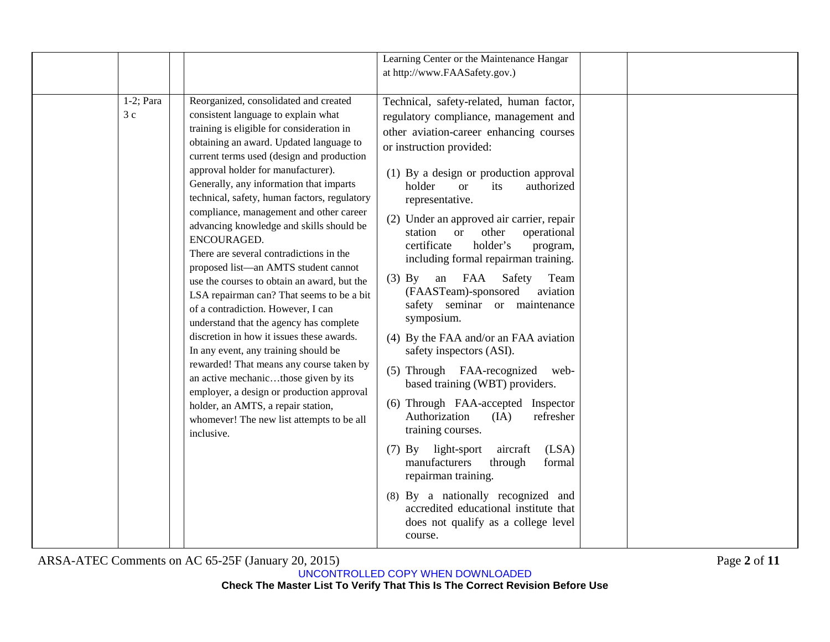ARSA-ATEC Comments on AC 65-25F (January 20, 2015) Page **2** of **11**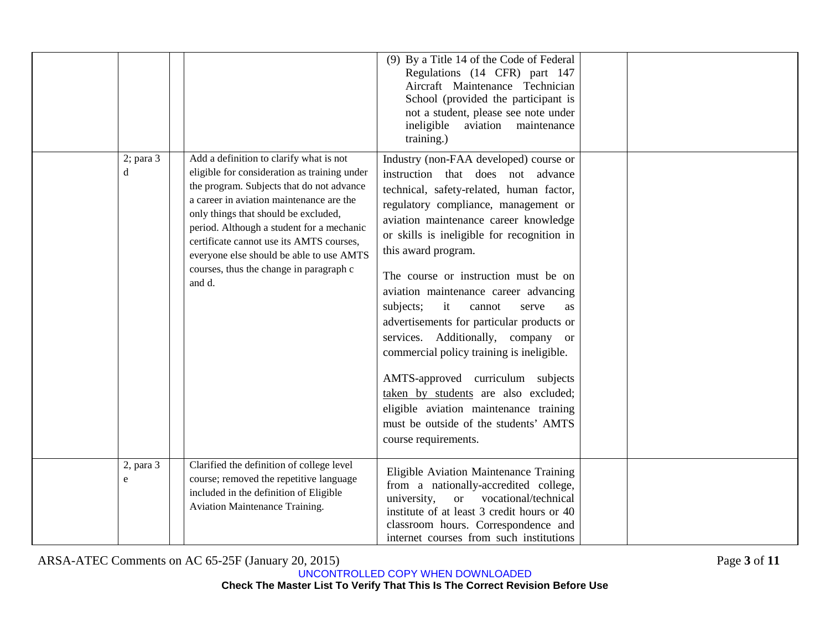|                     |                                                                                                                                                                                                                                                                                                                                                                                                                    | (9) By a Title 14 of the Code of Federal<br>Regulations (14 CFR) part 147<br>Aircraft Maintenance Technician<br>School (provided the participant is<br>not a student, please see note under<br>ineligible<br>aviation maintenance<br>training.)                                                                                                                                                                                                                                                                                                                                                                                                                                                                                    |  |
|---------------------|--------------------------------------------------------------------------------------------------------------------------------------------------------------------------------------------------------------------------------------------------------------------------------------------------------------------------------------------------------------------------------------------------------------------|------------------------------------------------------------------------------------------------------------------------------------------------------------------------------------------------------------------------------------------------------------------------------------------------------------------------------------------------------------------------------------------------------------------------------------------------------------------------------------------------------------------------------------------------------------------------------------------------------------------------------------------------------------------------------------------------------------------------------------|--|
| $2$ ; para $3$<br>d | Add a definition to clarify what is not<br>eligible for consideration as training under<br>the program. Subjects that do not advance<br>a career in aviation maintenance are the<br>only things that should be excluded,<br>period. Although a student for a mechanic<br>certificate cannot use its AMTS courses,<br>everyone else should be able to use AMTS<br>courses, thus the change in paragraph c<br>and d. | Industry (non-FAA developed) course or<br>instruction that does not advance<br>technical, safety-related, human factor,<br>regulatory compliance, management or<br>aviation maintenance career knowledge<br>or skills is ineligible for recognition in<br>this award program.<br>The course or instruction must be on<br>aviation maintenance career advancing<br>it<br>subjects;<br>cannot<br>serve<br>as<br>advertisements for particular products or<br>services. Additionally, company or<br>commercial policy training is ineligible.<br>AMTS-approved curriculum subjects<br>taken by students are also excluded;<br>eligible aviation maintenance training<br>must be outside of the students' AMTS<br>course requirements. |  |
| 2, para 3<br>e      | Clarified the definition of college level<br>course; removed the repetitive language<br>included in the definition of Eligible<br>Aviation Maintenance Training.                                                                                                                                                                                                                                                   | Eligible Aviation Maintenance Training<br>from a nationally-accredited college,<br>or vocational/technical<br>university,<br>institute of at least 3 credit hours or 40<br>classroom hours. Correspondence and<br>internet courses from such institutions                                                                                                                                                                                                                                                                                                                                                                                                                                                                          |  |

ARSA-ATEC Comments on AC 65-25F (January 20, 2015) Page **3** of **11**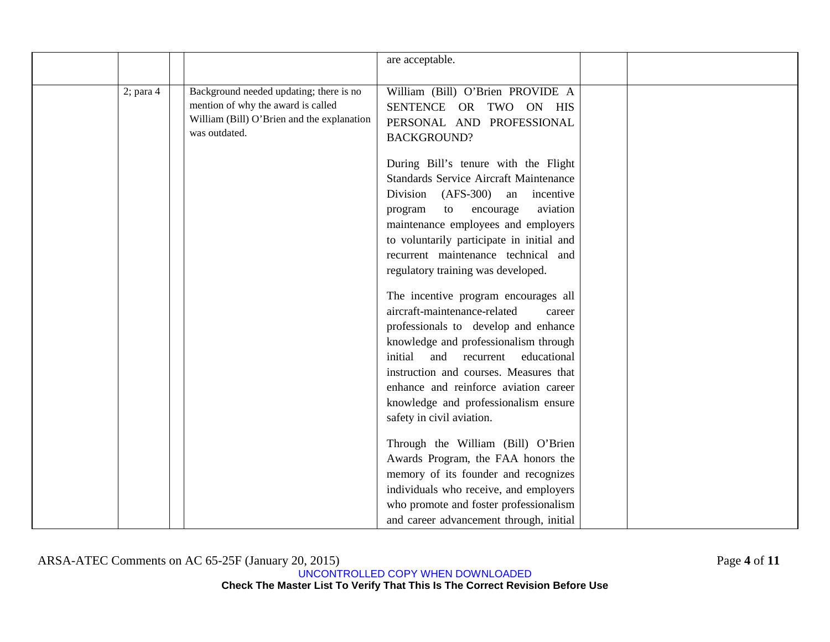|              |                                                                                                                                              | are acceptable.                                                                                                                                                                                                                                                                           |  |
|--------------|----------------------------------------------------------------------------------------------------------------------------------------------|-------------------------------------------------------------------------------------------------------------------------------------------------------------------------------------------------------------------------------------------------------------------------------------------|--|
| $2$ ; para 4 | Background needed updating; there is no<br>mention of why the award is called<br>William (Bill) O'Brien and the explanation<br>was outdated. | William (Bill) O'Brien PROVIDE A<br>SENTENCE OR TWO ON HIS<br>PERSONAL AND PROFESSIONAL<br><b>BACKGROUND?</b><br>During Bill's tenure with the Flight<br><b>Standards Service Aircraft Maintenance</b><br>Division (AFS-300) an<br>incentive                                              |  |
|              |                                                                                                                                              | aviation<br>to<br>encourage<br>program<br>maintenance employees and employers<br>to voluntarily participate in initial and<br>recurrent maintenance technical and<br>regulatory training was developed.<br>The incentive program encourages all<br>aircraft-maintenance-related<br>career |  |
|              |                                                                                                                                              | professionals to develop and enhance<br>knowledge and professionalism through<br>and<br>initial<br>recurrent<br>educational<br>instruction and courses. Measures that<br>enhance and reinforce aviation career<br>knowledge and professionalism ensure<br>safety in civil aviation.       |  |
|              |                                                                                                                                              | Through the William (Bill) O'Brien<br>Awards Program, the FAA honors the<br>memory of its founder and recognizes<br>individuals who receive, and employers<br>who promote and foster professionalism<br>and career advancement through, initial                                           |  |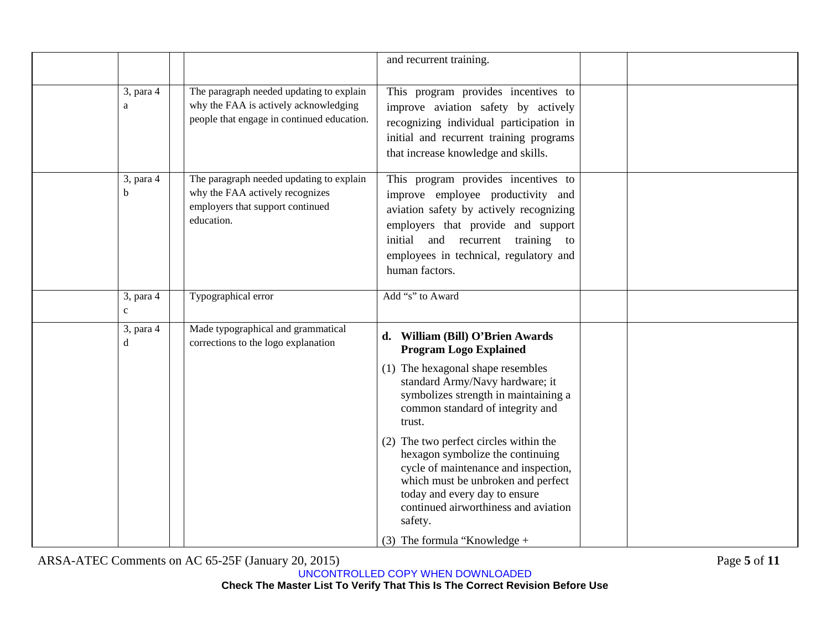|                           |                                                                                                                                 | and recurrent training.                                                                                                                                                                                                                                                                |  |
|---------------------------|---------------------------------------------------------------------------------------------------------------------------------|----------------------------------------------------------------------------------------------------------------------------------------------------------------------------------------------------------------------------------------------------------------------------------------|--|
| 3, para 4<br>a            | The paragraph needed updating to explain<br>why the FAA is actively acknowledging<br>people that engage in continued education. | This program provides incentives to<br>improve aviation safety by actively<br>recognizing individual participation in<br>initial and recurrent training programs<br>that increase knowledge and skills.                                                                                |  |
| 3, para 4<br>b            | The paragraph needed updating to explain<br>why the FAA actively recognizes<br>employers that support continued<br>education.   | This program provides incentives to<br>improve employee productivity and<br>aviation safety by actively recognizing<br>employers that provide and support<br>initial and recurrent training to<br>employees in technical, regulatory and<br>human factors.                             |  |
| 3, para 4<br>$\mathbf{C}$ | Typographical error                                                                                                             | Add "s" to Award                                                                                                                                                                                                                                                                       |  |
| 3, para 4<br>d            | Made typographical and grammatical<br>corrections to the logo explanation                                                       | <b>William (Bill) O'Brien Awards</b><br>d.<br><b>Program Logo Explained</b><br>(1) The hexagonal shape resembles<br>standard Army/Navy hardware; it<br>symbolizes strength in maintaining a<br>common standard of integrity and                                                        |  |
|                           |                                                                                                                                 | trust.<br>(2) The two perfect circles within the<br>hexagon symbolize the continuing<br>cycle of maintenance and inspection,<br>which must be unbroken and perfect<br>today and every day to ensure<br>continued airworthiness and aviation<br>safety.<br>(3) The formula "Knowledge + |  |

ARSA-ATEC Comments on AC 65-25F (January 20, 2015) Page **5** of **11**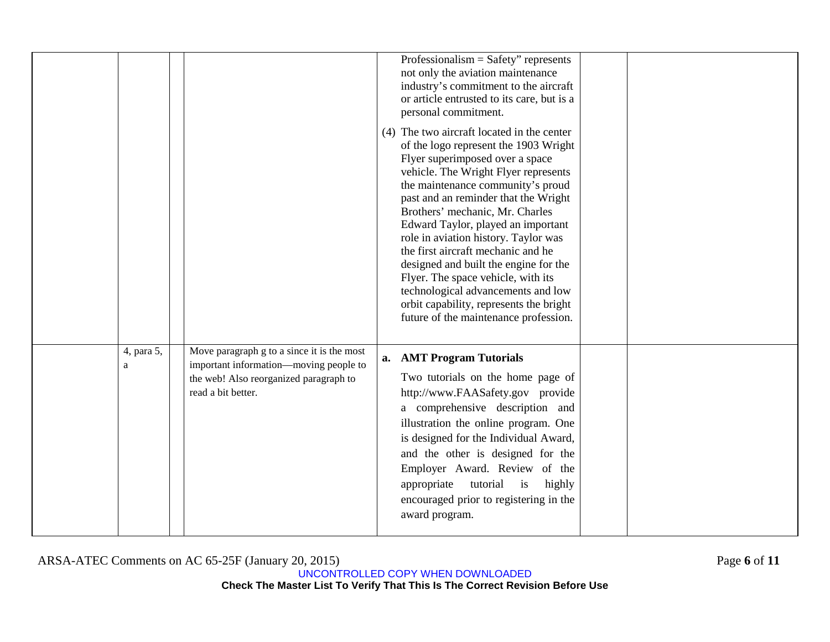|                 |                                                                                                                                                      | Professionalism = Safety" represents<br>not only the aviation maintenance<br>industry's commitment to the aircraft<br>or article entrusted to its care, but is a<br>personal commitment.<br>(4) The two aircraft located in the center<br>of the logo represent the 1903 Wright<br>Flyer superimposed over a space<br>vehicle. The Wright Flyer represents<br>the maintenance community's proud<br>past and an reminder that the Wright<br>Brothers' mechanic, Mr. Charles<br>Edward Taylor, played an important<br>role in aviation history. Taylor was<br>the first aircraft mechanic and he<br>designed and built the engine for the<br>Flyer. The space vehicle, with its<br>technological advancements and low<br>orbit capability, represents the bright<br>future of the maintenance profession. |  |
|-----------------|------------------------------------------------------------------------------------------------------------------------------------------------------|---------------------------------------------------------------------------------------------------------------------------------------------------------------------------------------------------------------------------------------------------------------------------------------------------------------------------------------------------------------------------------------------------------------------------------------------------------------------------------------------------------------------------------------------------------------------------------------------------------------------------------------------------------------------------------------------------------------------------------------------------------------------------------------------------------|--|
| 4, para 5,<br>a | Move paragraph g to a since it is the most<br>important information—moving people to<br>the web! Also reorganized paragraph to<br>read a bit better. | a. AMT Program Tutorials<br>Two tutorials on the home page of<br>http://www.FAASafety.gov provide<br>a comprehensive description and<br>illustration the online program. One<br>is designed for the Individual Award,<br>and the other is designed for the<br>Employer Award. Review of the<br>tutorial is<br>appropriate<br>highly<br>encouraged prior to registering in the<br>award program.                                                                                                                                                                                                                                                                                                                                                                                                         |  |

ARSA-ATEC Comments on AC 65-25F (January 20, 2015) Page **6** of **11**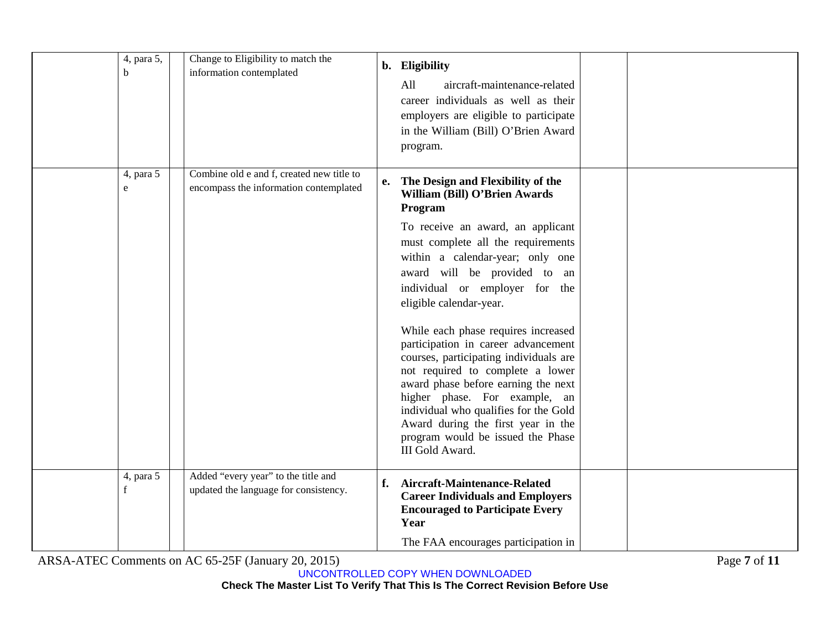| 4, para 5,<br>b          | Change to Eligibility to match the<br>information contemplated                      | b. Eligibility<br>All<br>aircraft-maintenance-related<br>career individuals as well as their<br>employers are eligible to participate<br>in the William (Bill) O'Brien Award<br>program.                                                                                                                                                                                                                                                                                                                                                                                                                                                                                       |  |
|--------------------------|-------------------------------------------------------------------------------------|--------------------------------------------------------------------------------------------------------------------------------------------------------------------------------------------------------------------------------------------------------------------------------------------------------------------------------------------------------------------------------------------------------------------------------------------------------------------------------------------------------------------------------------------------------------------------------------------------------------------------------------------------------------------------------|--|
| 4, para 5<br>$\mathbf e$ | Combine old e and f, created new title to<br>encompass the information contemplated | e. The Design and Flexibility of the<br>William (Bill) O'Brien Awards<br>Program<br>To receive an award, an applicant<br>must complete all the requirements<br>within a calendar-year; only one<br>award will be provided to an<br>individual or employer for the<br>eligible calendar-year.<br>While each phase requires increased<br>participation in career advancement<br>courses, participating individuals are<br>not required to complete a lower<br>award phase before earning the next<br>higher phase. For example, an<br>individual who qualifies for the Gold<br>Award during the first year in the<br>program would be issued the Phase<br><b>III Gold Award.</b> |  |
| 4, para 5<br>$f_{\rm}$   | Added "every year" to the title and<br>updated the language for consistency.        | Aircraft-Maintenance-Related<br>f.<br><b>Career Individuals and Employers</b><br><b>Encouraged to Participate Every</b><br>Year<br>The FAA encourages participation in                                                                                                                                                                                                                                                                                                                                                                                                                                                                                                         |  |

ARSA-ATEC Comments on AC 65-25F (January 20, 2015) Page **7** of **11**

UNCONTROLLED COPY WHEN DOWNLOADED

**Check The Master List To Verify That This Is The Correct Revision Before Use**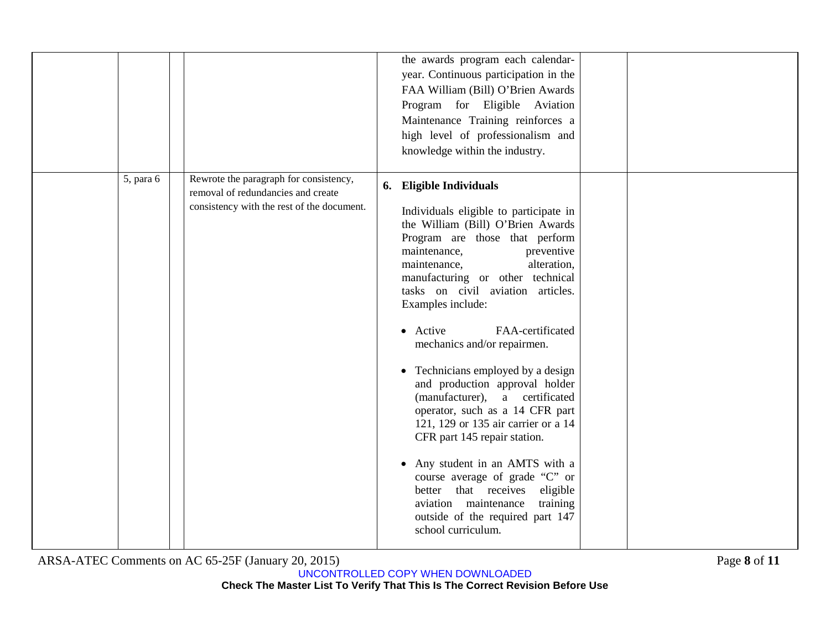|           |                                                                                                                            | the awards program each calendar-<br>year. Continuous participation in the<br>FAA William (Bill) O'Brien Awards<br>Program for Eligible Aviation<br>Maintenance Training reinforces a<br>high level of professionalism and<br>knowledge within the industry.                                                                                                                                                                                                                                                                                                                                                                                                                                                                                                                             |
|-----------|----------------------------------------------------------------------------------------------------------------------------|------------------------------------------------------------------------------------------------------------------------------------------------------------------------------------------------------------------------------------------------------------------------------------------------------------------------------------------------------------------------------------------------------------------------------------------------------------------------------------------------------------------------------------------------------------------------------------------------------------------------------------------------------------------------------------------------------------------------------------------------------------------------------------------|
| 5, para 6 | Rewrote the paragraph for consistency,<br>removal of redundancies and create<br>consistency with the rest of the document. | 6. Eligible Individuals<br>Individuals eligible to participate in<br>the William (Bill) O'Brien Awards<br>Program are those that perform<br>maintenance,<br>preventive<br>maintenance,<br>alteration,<br>manufacturing or other technical<br>tasks on civil aviation articles.<br>Examples include:<br>• Active<br>FAA-certificated<br>mechanics and/or repairmen.<br>• Technicians employed by a design<br>and production approval holder<br>(manufacturer), a certificated<br>operator, such as a 14 CFR part<br>121, 129 or 135 air carrier or a 14<br>CFR part 145 repair station.<br>Any student in an AMTS with a<br>course average of grade "C" or<br>better that receives eligible<br>aviation maintenance<br>training<br>outside of the required part 147<br>school curriculum. |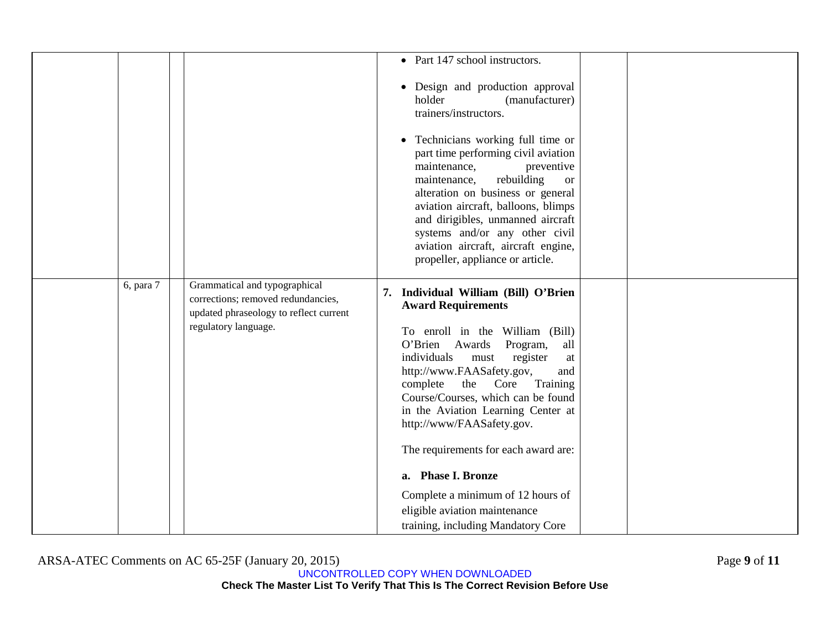|           |                                                                                                                                       | • Part 147 school instructors.                                                                                                                                                                                                                                                                                                                                                                                                                  |  |
|-----------|---------------------------------------------------------------------------------------------------------------------------------------|-------------------------------------------------------------------------------------------------------------------------------------------------------------------------------------------------------------------------------------------------------------------------------------------------------------------------------------------------------------------------------------------------------------------------------------------------|--|
|           |                                                                                                                                       | • Design and production approval<br>holder<br>(manufacturer)<br>trainers/instructors.                                                                                                                                                                                                                                                                                                                                                           |  |
|           |                                                                                                                                       | • Technicians working full time or<br>part time performing civil aviation<br>maintenance,<br>preventive<br>rebuilding<br>maintenance,<br><b>or</b><br>alteration on business or general<br>aviation aircraft, balloons, blimps<br>and dirigibles, unmanned aircraft<br>systems and/or any other civil<br>aviation aircraft, aircraft engine,<br>propeller, appliance or article.                                                                |  |
| 6, para 7 | Grammatical and typographical<br>corrections; removed redundancies,<br>updated phraseology to reflect current<br>regulatory language. | 7. Individual William (Bill) O'Brien<br><b>Award Requirements</b><br>To enroll in the William (Bill)<br>O'Brien Awards<br>Program,<br>all<br>individuals<br>must<br>register<br>$\operatorname{at}$<br>http://www.FAASafety.gov,<br>and<br>complete the Core<br>Training<br>Course/Courses, which can be found<br>in the Aviation Learning Center at<br>http://www/FAASafety.gov.<br>The requirements for each award are:<br>a. Phase I. Bronze |  |
|           |                                                                                                                                       | Complete a minimum of 12 hours of                                                                                                                                                                                                                                                                                                                                                                                                               |  |
|           |                                                                                                                                       | eligible aviation maintenance                                                                                                                                                                                                                                                                                                                                                                                                                   |  |
|           |                                                                                                                                       | training, including Mandatory Core                                                                                                                                                                                                                                                                                                                                                                                                              |  |

ARSA-ATEC Comments on AC 65-25F (January 20, 2015) Page **9** of **11**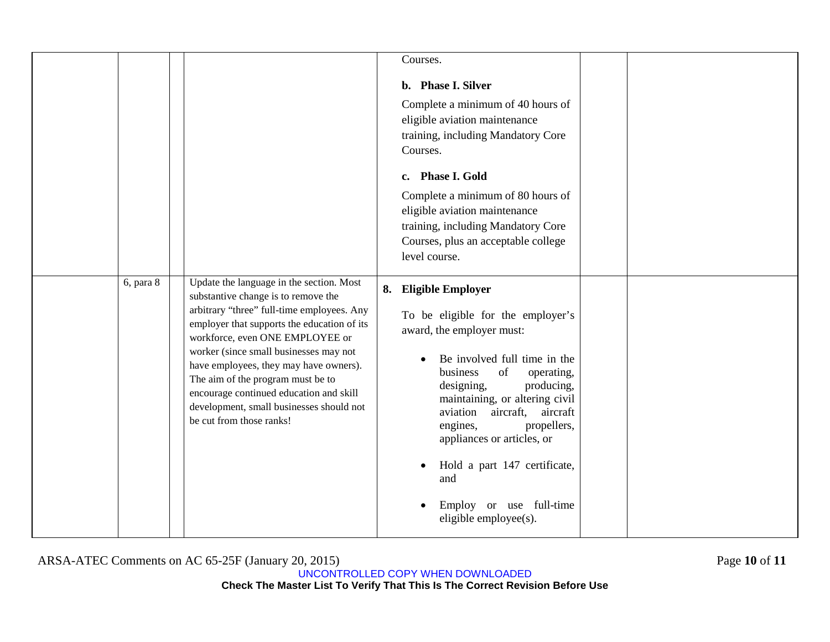|           |                                                                                                                                                                                                                                                                                                                                                                                                                                                             | Courses.                                                                                                                                                                                                                                                                                                                                                                                                   |  |
|-----------|-------------------------------------------------------------------------------------------------------------------------------------------------------------------------------------------------------------------------------------------------------------------------------------------------------------------------------------------------------------------------------------------------------------------------------------------------------------|------------------------------------------------------------------------------------------------------------------------------------------------------------------------------------------------------------------------------------------------------------------------------------------------------------------------------------------------------------------------------------------------------------|--|
|           |                                                                                                                                                                                                                                                                                                                                                                                                                                                             | b. Phase I. Silver<br>Complete a minimum of 40 hours of<br>eligible aviation maintenance<br>training, including Mandatory Core<br>Courses.<br>c. Phase I. Gold                                                                                                                                                                                                                                             |  |
|           |                                                                                                                                                                                                                                                                                                                                                                                                                                                             | Complete a minimum of 80 hours of<br>eligible aviation maintenance<br>training, including Mandatory Core<br>Courses, plus an acceptable college<br>level course.                                                                                                                                                                                                                                           |  |
| 6, para 8 | Update the language in the section. Most<br>substantive change is to remove the<br>arbitrary "three" full-time employees. Any<br>employer that supports the education of its<br>workforce, even ONE EMPLOYEE or<br>worker (since small businesses may not<br>have employees, they may have owners).<br>The aim of the program must be to<br>encourage continued education and skill<br>development, small businesses should not<br>be cut from those ranks! | 8. Eligible Employer<br>To be eligible for the employer's<br>award, the employer must:<br>Be involved full time in the<br>of<br>business<br>operating,<br>producing,<br>designing,<br>maintaining, or altering civil<br>aircraft, aircraft<br>aviation<br>engines,<br>propellers,<br>appliances or articles, or<br>Hold a part 147 certificate,<br>and<br>Employ or use full-time<br>eligible employee(s). |  |

ARSA-ATEC Comments on AC 65-25F (January 20, 2015) Page **10** of **11**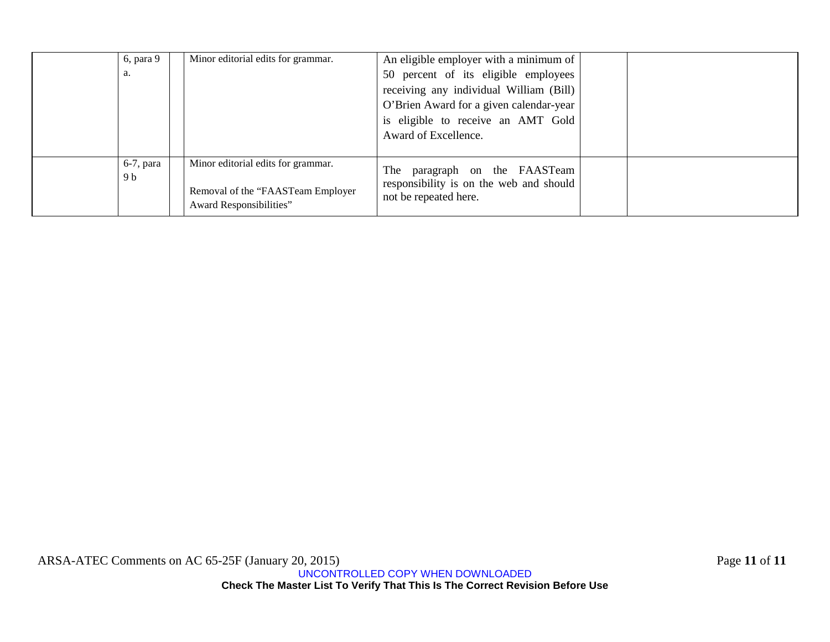| 6, para 9    | Minor editorial edits for grammar. | An eligible employer with a minimum of  |  |
|--------------|------------------------------------|-----------------------------------------|--|
| a.           |                                    | 50 percent of its eligible employees    |  |
|              |                                    | receiving any individual William (Bill) |  |
|              |                                    | O'Brien Award for a given calendar-year |  |
|              |                                    | is eligible to receive an AMT Gold      |  |
|              |                                    | Award of Excellence.                    |  |
|              |                                    |                                         |  |
| $6-7$ , para | Minor editorial edits for grammar. | paragraph on the FAASTeam<br>The        |  |
| 9 b          |                                    | responsibility is on the web and should |  |
|              | Removal of the "FAASTeam Employer  | not be repeated here.                   |  |
|              | Award Responsibilities"            |                                         |  |

ARSA-ATEC Comments on AC 65-25F (January 20, 2015) Page **11** of **11**

UNCONTROLLED COPY WHEN DOWNLOADED **Check The Master List To Verify That This Is The Correct Revision Before Use**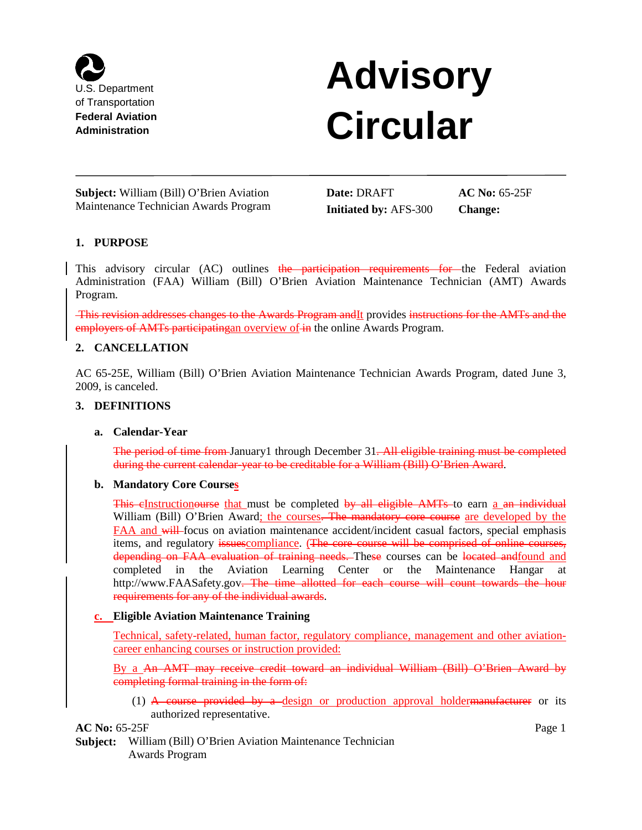

# **Advisory Circular**

**Subject:** William (Bill) O'Brien Aviation Maintenance Technician Awards Program **Date:** DRAFT **Initiated by:** AFS-300

**AC No:** 65-25F **Change:**

# **1. PURPOSE**

This advisory circular (AC) outlines the participation requirements for the Federal aviation Administration (FAA) William (Bill) O'Brien Aviation Maintenance Technician (AMT) Awards Program.

This revision addresses changes to the Awards Program andIt provides instructions for the AMTs and the employers of AMTs participating an overview of in the online Awards Program.

#### **2. CANCELLATION**

AC 65-25E, William (Bill) O'Brien Aviation Maintenance Technician Awards Program, dated June 3, 2009, is canceled.

#### **3. DEFINITIONS**

#### **a. Calendar-Year**

The period of time from January1 through December 31. All eligible training must be completed during the current calendar-year to be creditable for a William (Bill) O'Brien Award.

#### **b. Mandatory Core Courses**

This eInstructionourse that must be completed by all eligible AMTs to earn a an individual William (Bill) O'Brien Award; the courses<del>. The mandatory core course</del> are developed by the FAA and will focus on aviation maintenance accident/incident casual factors, special emphasis items, and regulatory issues compliance. (The core course will be comprised of online courses, depending on FAA evaluation of training needs. These courses can be located and found and completed in the Aviation Learning Center or the Maintenance Hangar at http://www.FAASafety.gov. The time allotted for each course will count towards the hour requirements for any of the individual awards.

#### **c. Eligible Aviation Maintenance Training**

Technical, safety-related, human factor, regulatory compliance, management and other aviationcareer enhancing courses or instruction provided:

By a An AMT may receive credit toward an individual William (Bill) O'Brien Award by completing formal training in the form of:

(1)  $\overline{A}$  course provided by a design or production approval holdermanufacturer or its authorized representative.

**AC No:** 65-25F Page 1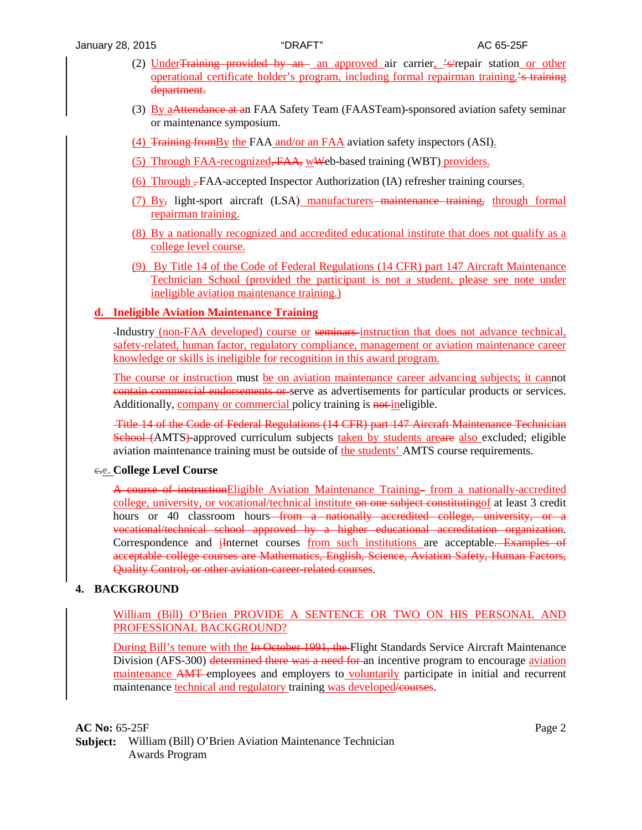- (2) Under<del>Training provided by an</del> an approved air carrier,  $\frac{1}{2}$ -s/repair station or other operational certificate holder's program, including formal repairman training.'s training department.
- (3) By aAttendance at an FAA Safety Team (FAASTeam)-sponsored aviation safety seminar or maintenance symposium.
- (4) Training fromBy the FAA and/or an FAA aviation safety inspectors (ASI).
- (5) Through FAA-recognized, FAA, wWeb-based training (WBT) providers.
- (6) Through , FAA-accepted Inspector Authorization (IA) refresher training courses.
- (7) By, light-sport aircraft (LSA) manufacturers maintenance training, through formal repairman training.
- (8) By a nationally recognized and accredited educational institute that does not qualify as a college level course.
- (9) By Title 14 of the Code of Federal Regulations (14 CFR) part 147 Aircraft Maintenance Technician School (provided the participant is not a student, please see note under ineligible aviation maintenance training.)

## **d. Ineligible Aviation Maintenance Training**

Industry (non-FAA developed) course or seminars instruction that does not advance technical, safety-related, human factor, regulatory compliance, management or aviation maintenance career knowledge or skills is ineligible for recognition in this award program.

The course or instruction must be on aviation maintenance career advancing subjects; it cannot contain commercial endorsements or serve as advertisements for particular products or services. Additionally, company or commercial policy training is not ineligible.

Title 14 of the Code of Federal Regulations (14 CFR) part 147 Aircraft Maintenance Technician School (AMTS)-approved curriculum subjects taken by students areare also excluded; eligible aviation maintenance training must be outside of the students' AMTS course requirements.

# **c.e. College Level Course**

A course of instructionEligible Aviation Maintenance Training from a nationally-accredited college, university, or vocational/technical institute on one subject constituting of at least 3 credit hours or 40 classroom hours<del> from a nationally accredited college, university, or a</del> vocational/technical school approved by a higher educational accreditation organization. Correspondence and *i*Internet courses from such institutions are acceptable. Examples of acceptable college courses are Mathematics, English, Science, Aviation Safety, Human Factors, Quality Control, or other aviation-career-related courses.

# **4. BACKGROUND**

## William (Bill) O'Brien PROVIDE A SENTENCE OR TWO ON HIS PERSONAL AND PROFESSIONAL BACKGROUND?

During Bill's tenure with the In-October 1991, the Flight Standards Service Aircraft Maintenance Division (AFS-300) determined there was a need for an incentive program to encourage aviation maintenance AMT employees and employers to voluntarily participate in initial and recurrent maintenance technical and regulatory training was developed/courses.

**AC No:** 65-25F Page 2 **Subject:** William (Bill) O'Brien Aviation Maintenance Technician Awards Program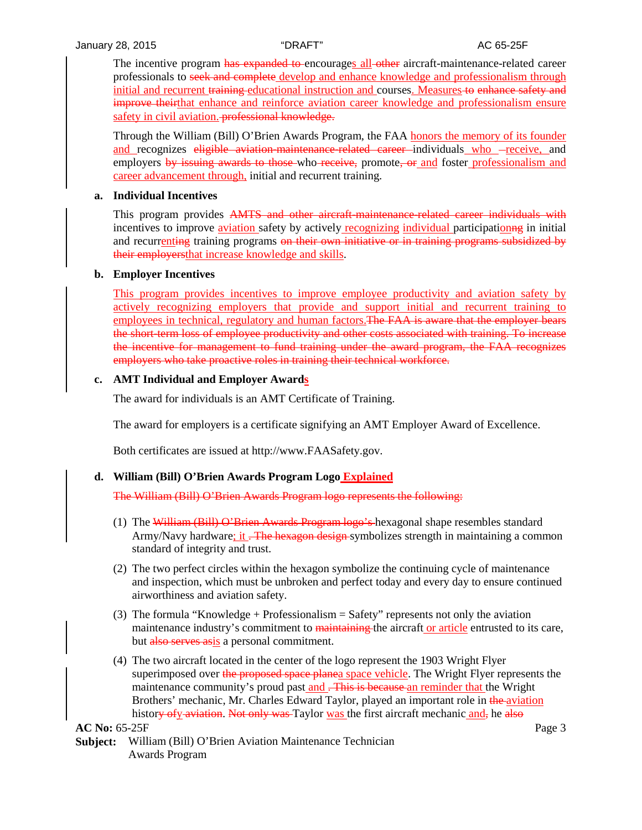The incentive program has expanded to encourages all other aircraft-maintenance-related career professionals to seek and complete develop and enhance knowledge and professionalism through initial and recurrent training educational instruction and courses. Measures to enhance safety and improve theirthat enhance and reinforce aviation career knowledge and professionalism ensure safety in civil aviation. **professional knowledge.** 

Through the William (Bill) O'Brien Awards Program, the FAA honors the memory of its founder and recognizes eligible aviation-maintenance-related career individuals who -receive, and employers by issuing awards to those who receive, promote, or and foster professionalism and career advancement through, initial and recurrent training.

#### **a. Individual Incentives**

This program provides AMTS and other aircraft-maintenance-related career individuals with incentives to improve aviation safety by actively recognizing individual participation as in initial and recurrenting training programs on their own initiative or in training programs subsidized by their employersthat increase knowledge and skills.

#### **b. Employer Incentives**

This program provides incentives to improve employee productivity and aviation safety by actively recognizing employers that provide and support initial and recurrent training to employees in technical, regulatory and human factors. The FAA is aware that the employer bears the short-term loss of employee productivity and other costs associated with training. To increase the incentive for management to fund training under the award program, the FAA recognizes employers who take proactive roles in training their technical workforce.

#### **c. AMT Individual and Employer Awards**

The award for individuals is an AMT Certificate of Training.

The award for employers is a certificate signifying an AMT Employer Award of Excellence.

Both certificates are issued at http://www.FAASafety.gov.

#### **d. William (Bill) O'Brien Awards Program Logo Explained**

The William (Bill) O'Brien Awards Program logo represents the following:

- (1) The William (Bill) O'Brien Awards Program logo's hexagonal shape resembles standard Army/Navy hardware; it <del>. The hexagon design</del>-symbolizes strength in maintaining a common standard of integrity and trust.
- (2) The two perfect circles within the hexagon symbolize the continuing cycle of maintenance and inspection, which must be unbroken and perfect today and every day to ensure continued airworthiness and aviation safety.
- (3) The formula "Knowledge + Professionalism = Safety" represents not only the aviation maintenance industry's commitment to maintaining the aircraft or article entrusted to its care, but also serves asis a personal commitment.
- (4) The two aircraft located in the center of the logo represent the 1903 Wright Flyer superimposed over the proposed space planea space vehicle. The Wright Flyer represents the maintenance community's proud past and <del>. This is because</del> an reminder that the Wright Brothers' mechanic, Mr. Charles Edward Taylor, played an important role in the aviation history of y aviation. Not only was Taylor was the first aircraft mechanic and, he also

**AC No:** 65-25F Page 3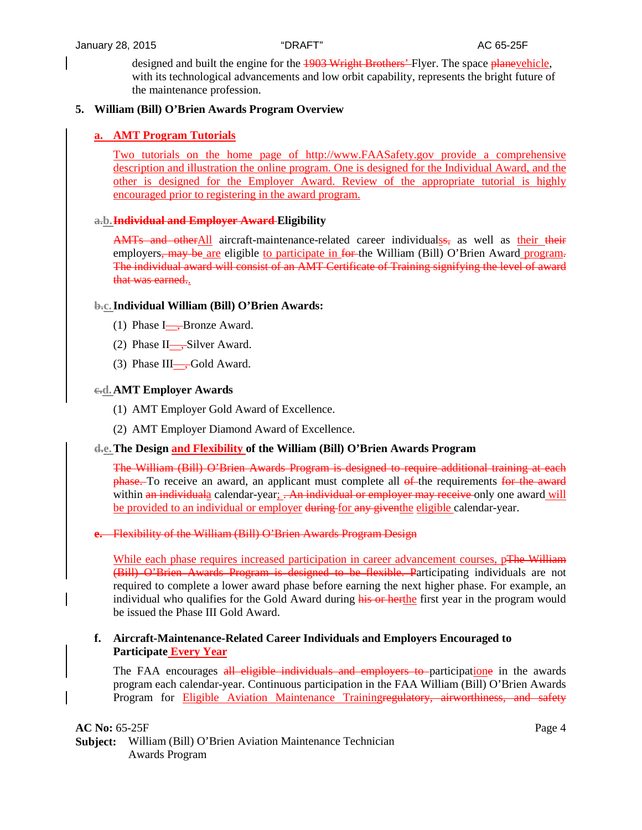designed and built the engine for the 1903 Wright Brothers'-Flyer. The space planevehicle, with its technological advancements and low orbit capability, represents the bright future of the maintenance profession.

# **5. William (Bill) O'Brien Awards Program Overview**

# **a. AMT Program Tutorials**

Two tutorials on the home page of http://www.FAASafety.gov provide a comprehensive description and illustration the online program. One is designed for the Individual Award, and the other is designed for the Employer Award. Review of the appropriate tutorial is highly encouraged prior to registering in the award program.

#### **a.b.Individual and Employer Award Eligibility**

AMTs and otherAll aircraft-maintenance-related career individualss, as well as their their employers, may be are eligible to participate in for the William (Bill) O'Brien Award program. The individual award will consist of an AMT Certificate of Training signifying the level of award that was earned..

#### **b.c.Individual William (Bill) O'Brien Awards:**

- (1) Phase  $I_{\rightarrow}$ Bronze Award.
- (2) Phase II—, Silver Award.
- (3) Phase III—, Gold Award.

#### **c.d.AMT Employer Awards**

- (1) AMT Employer Gold Award of Excellence.
- (2) AMT Employer Diamond Award of Excellence.

#### **d.e.The Design and Flexibility of the William (Bill) O'Brien Awards Program**

The William (Bill) O'Brien Awards Program is designed to require additional training at each **phase.** To receive an award, an applicant must complete all of the requirements for the award within an individuala calendar-year;  $\frac{1}{2}$  - An individual or employer may receive only one award will be provided to an individual or employer during for any given the eligible calendar-year.

#### **e.** Flexibility of the William (Bill) O'Brien Awards Program Design

While each phase requires increased participation in career advancement courses, pThe William (Bill) O'Brien Awards Program is designed to be flexible. Participating individuals are not required to complete a lower award phase before earning the next higher phase. For example, an individual who qualifies for the Gold Award during his or herthe first year in the program would be issued the Phase III Gold Award.

#### **f. Aircraft-Maintenance-Related Career Individuals and Employers Encouraged to Participate Every Year**

The FAA encourages all eligible individuals and employers to participatione in the awards program each calendar-year. Continuous participation in the FAA William (Bill) O'Brien Awards Program for **Eligible Aviation Maintenance Trainingregulatory**, airworthiness, and safety

**AC No:** 65-25F Page 4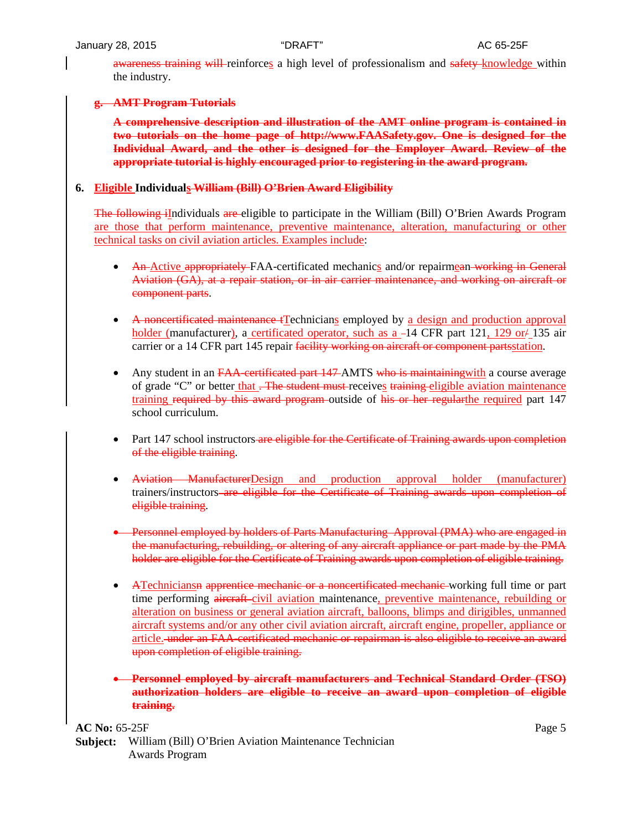awareness training will reinforces a high level of professionalism and safety knowledge within the industry.

#### **g. AMT Program Tutorials**

**A comprehensive description and illustration of the AMT online program is contained in two tutorials on the home page of http://www.FAASafety.gov. One is designed for the Individual Award, and the other is designed for the Employer Award. Review of the appropriate tutorial is highly encouraged prior to registering in the award program.**

# **6. Eligible Individuals William (Bill) O'Brien Award Eligibility**

The following iIndividuals are eligible to participate in the William (Bill) O'Brien Awards Program are those that perform maintenance, preventive maintenance, alteration, manufacturing or other technical tasks on civil aviation articles. Examples include:

- An-Active appropriately-FAA-certificated mechanics and/or repairmean-working in General Aviation (GA), at a repair station, or in air carrier maintenance, and working on aircraft or component parts.
- A noncertificated maintenance tTechnicians employed by a design and production approval holder (manufacturer), a certificated operator, such as  $a -14$  CFR part 121, 129 or  $/ 135$  air carrier or a 14 CFR part 145 repair facility working on aircraft or component partsstation.
- Any student in an FAA-certificated part 147-AMTS who is maintaining with a course average of grade "C" or better that . The student must receives training eligible aviation maintenance training required by this award program outside of his or her regular the required part 147 school curriculum.
- Part 147 school instructors are eligible for the Certificate of Training awards upon completion of the eligible training.
- Aviation ManufacturerDesign and production approval holder (manufacturer) trainers/instructors are eligible for the Certificate of Training awards upon completion of eligible training.
- Personnel employed by holders of Parts Manufacturing Approval (PMA) who are engaged in the manufacturing, rebuilding, or altering of any aircraft appliance or part made by the PMA holder are eligible for the Certificate of Training awards upon completion of eligible training.
- ATechniciansn apprentice mechanic or a noncertificated mechanic working full time or part time performing aircraft-civil aviation maintenance, preventive maintenance, rebuilding or alteration on business or general aviation aircraft, balloons, blimps and dirigibles, unmanned aircraft systems and/or any other civil aviation aircraft, aircraft engine, propeller, appliance or article. under an FAA-certificated mechanic or repairman is also eligible to receive an award upon completion of eligible training.
- **Personnel employed by aircraft manufacturers and Technical Standard Order (TSO) authorization holders are eligible to receive an award upon completion of eligible training.**

 $AC No: 65-25F$  Page 5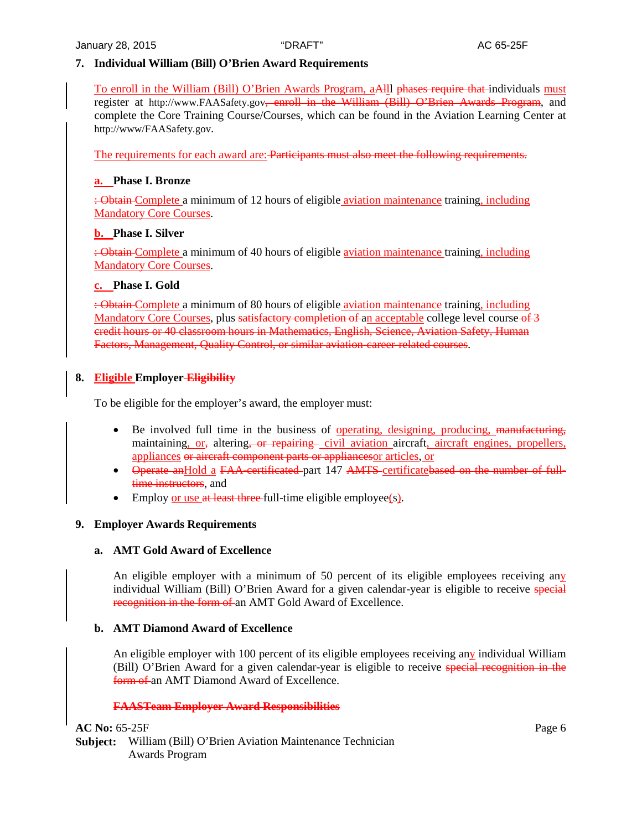# **7. Individual William (Bill) O'Brien Award Requirements**

To enroll in the William (Bill) O'Brien Awards Program, aAlll phases require that individuals must register at http://www.FAASafety.gov<del>, enroll in the William (Bill) O'Brien Awards Program</del>, and complete the Core Training Course/Courses, which can be found in the Aviation Learning Center at [http://www/FAASafety.gov.](http://www/FAASafety.gov)

The requirements for each award are: Participants must also meet the following requirements.

## **a. Phase I. Bronze**

: Obtain Complete a minimum of 12 hours of eligible aviation maintenance training, including Mandatory Core Courses.

#### **b. Phase I. Silver**

: Obtain Complete a minimum of 40 hours of eligible aviation maintenance training, including Mandatory Core Courses.

## **c. Phase I. Gold**

: Obtain Complete a minimum of 80 hours of eligible aviation maintenance training, including Mandatory Core Courses, plus satisfactory completion of an acceptable college level course of 3 credit hours or 40 classroom hours in Mathematics, English, Science, Aviation Safety, Human Factors, Management, Quality Control, or similar aviation-career-related courses.

# **8. Eligible Employer Eligibility**

To be eligible for the employer's award, the employer must:

- Be involved full time in the business of operating, designing, producing, manufacturing, maintaining, or, altering, or repairing civil aviation aircraft, aircraft engines, propellers, appliances or aircraft component parts or appliancesor articles, or
- Operate anHold a FAA-certificated part 147 AMTS certificatebased on the number of fulltime instructors, and
- Employ or use at least three full-time eligible employee(s).

# **9. Employer Awards Requirements**

#### **a. AMT Gold Award of Excellence**

An eligible employer with a minimum of 50 percent of its eligible employees receiving any individual William (Bill) O'Brien Award for a given calendar-year is eligible to receive special recognition in the form of an AMT Gold Award of Excellence.

# **b. AMT Diamond Award of Excellence**

An eligible employer with 100 percent of its eligible employees receiving any individual William (Bill) O'Brien Award for a given calendar-year is eligible to receive special recognition in the form of an AMT Diamond Award of Excellence.

#### **FAASTeam Employer Award Responsibilities**

**AC No:** 65-25F Page 6 **Subject:** William (Bill) O'Brien Aviation Maintenance Technician Awards Program